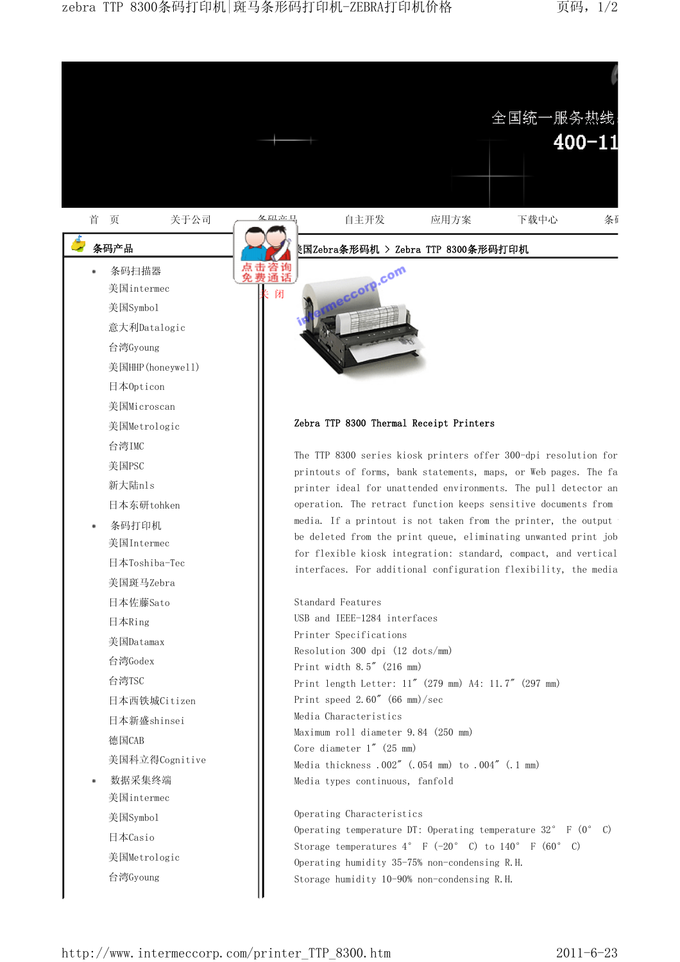